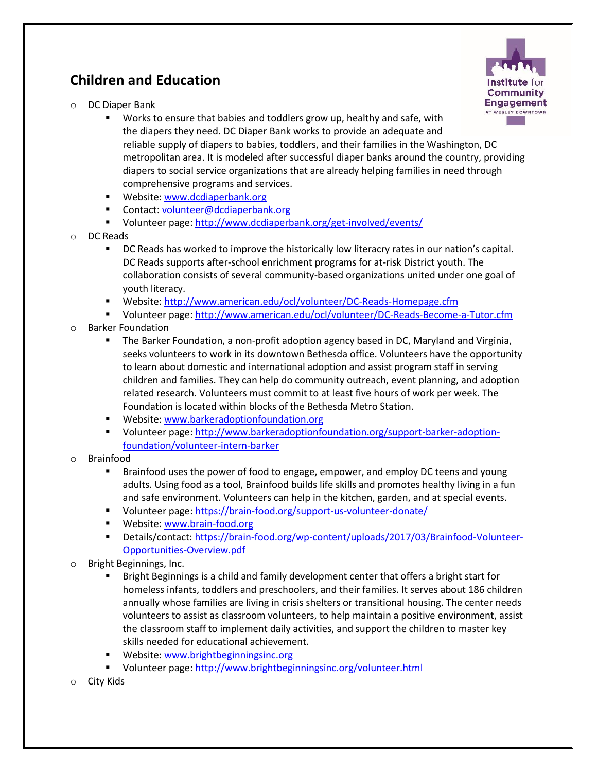## **Children and Education**



- o DC Diaper Bank
	- Works to ensure that babies and toddlers grow up, healthy and safe, with the diapers they need. DC Diaper Bank works to provide an adequate and reliable supply of diapers to babies, toddlers, and their families in the Washington, DC metropolitan area. It is modeled after successful diaper banks around the country, providing diapers to social service organizations that are already helping families in need through comprehensive programs and services.
	- **Website[: www.dcdiaperbank.org](http://www.dcdiaperbank.org/)**
	- Contact: [volunteer@dcdiaperbank.org](mailto:volunteer@dcdiaperbank.org)
	- Volunteer page:<http://www.dcdiaperbank.org/get-involved/events/>
- o DC Reads
	- **DC** Reads has worked to improve the historically low literacry rates in our nation's capital. DC Reads supports after-school enrichment programs for at-risk District youth. The collaboration consists of several community-based organizations united under one goal of youth literacy.
	- Website[: http://www.american.edu/ocl/volunteer/DC-Reads-Homepage.cfm](http://www.american.edu/ocl/volunteer/DC-Reads-Homepage.cfm)
	- Volunteer page:<http://www.american.edu/ocl/volunteer/DC-Reads-Become-a-Tutor.cfm>
- o Barker Foundation
	- The Barker Foundation, a non-profit adoption agency based in DC, Maryland and Virginia, seeks volunteers to work in its downtown Bethesda office. Volunteers have the opportunity to learn about domestic and international adoption and assist program staff in serving children and families. They can help do community outreach, event planning, and adoption related research. Volunteers must commit to at least five hours of work per week. The Foundation is located within blocks of the Bethesda Metro Station.
	- Website[: www.barkeradoptionfoundation.org](http://www.barkeradoptionfoundation.org/)
	- Volunteer page: [http://www.barkeradoptionfoundation.org/support-barker-adoption](http://www.barkeradoptionfoundation.org/support-barker-adoption-foundation/volunteer-intern-barker)[foundation/volunteer-intern-barker](http://www.barkeradoptionfoundation.org/support-barker-adoption-foundation/volunteer-intern-barker)
- o Brainfood
	- Brainfood uses the power of food to engage, empower, and employ DC teens and young adults. Using food as a tool, Brainfood builds life skills and promotes healthy living in a fun and safe environment. Volunteers can help in the kitchen, garden, and at special events.
	- Volunteer page:<https://brain-food.org/support-us-volunteer-donate/>
	- **Website[: www.brain-food.org](http://www.brain-food.org/)**
	- Details/contact: [https://brain-food.org/wp-content/uploads/2017/03/Brainfood-Volunteer-](https://brain-food.org/wp-content/uploads/2017/03/Brainfood-Volunteer-Opportunities-Overview.pdf)[Opportunities-Overview.pdf](https://brain-food.org/wp-content/uploads/2017/03/Brainfood-Volunteer-Opportunities-Overview.pdf)
- Bright Beginnings, Inc.
	- Bright Beginnings is a child and family development center that offers a bright start for homeless infants, toddlers and preschoolers, and their families. It serves about 186 children annually whose families are living in crisis shelters or transitional housing. The center needs volunteers to assist as classroom volunteers, to help maintain a positive environment, assist the classroom staff to implement daily activities, and support the children to master key skills needed for educational achievement.
	- Website[: www.brightbeginningsinc.org](http://www.brightbeginningsinc.org/)
	- Volunteer page:<http://www.brightbeginningsinc.org/volunteer.html>
- City Kids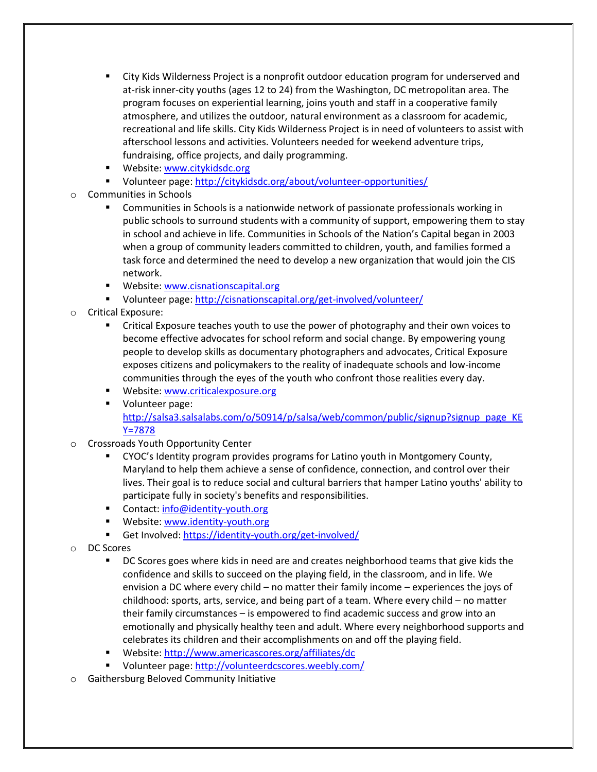- City Kids Wilderness Project is a nonprofit outdoor education program for underserved and at-risk inner-city youths (ages 12 to 24) from the Washington, DC metropolitan area. The program focuses on experiential learning, joins youth and staff in a cooperative family atmosphere, and utilizes the outdoor, natural environment as a classroom for academic, recreational and life skills. City Kids Wilderness Project is in need of volunteers to assist with afterschool lessons and activities. Volunteers needed for weekend adventure trips, fundraising, office projects, and daily programming.
- **Website[: www.citykidsdc.org](http://www.citykidsdc.org/)**
- Volunteer page:<http://citykidsdc.org/about/volunteer-opportunities/>
- Communities in Schools
	- Communities in Schools is a nationwide network of passionate professionals working in public schools to surround students with a community of support, empowering them to stay in school and achieve in life. Communities in Schools of the Nation's Capital began in 2003 when a group of community leaders committed to children, youth, and families formed a task force and determined the need to develop a new organization that would join the CIS network.
	- **Website[: www.cisnationscapital.org](http://www.cisnationscapital.org/)**
	- Volunteer page:<http://cisnationscapital.org/get-involved/volunteer/>
- o Critical Exposure:
	- **EXPO** Critical Exposure teaches youth to use the power of photography and their own voices to become effective advocates for school reform and social change. By empowering young people to develop skills as documentary photographers and advocates, Critical Exposure exposes citizens and policymakers to the reality of inadequate schools and low-income communities through the eyes of the youth who confront those realities every day.
	- **Website:** www.criticalexposure.org
	- **Volunteer page:** [http://salsa3.salsalabs.com/o/50914/p/salsa/web/common/public/signup?signup\\_page\\_KE](http://salsa3.salsalabs.com/o/50914/p/salsa/web/common/public/signup?signup_page_KEY=7878) [Y=7878](http://salsa3.salsalabs.com/o/50914/p/salsa/web/common/public/signup?signup_page_KEY=7878)
- o Crossroads Youth Opportunity Center
	- CYOC's Identity program provides programs for Latino youth in Montgomery County, Maryland to help them achieve a sense of confidence, connection, and control over their lives. Their goal is to reduce social and cultural barriers that hamper Latino youths' ability to participate fully in society's benefits and responsibilities.
	- Contact: [info@identity-youth.org](mailto:info@identity-youth.org)
	- **Website[: www.identity-youth.org](http://www.identity-youth.org/)**
	- Get Involved:<https://identity-youth.org/get-involved/>
- o DC Scores
	- **DC** Scores goes where kids in need are and creates neighborhood teams that give kids the confidence and skills to succeed on the playing field, in the classroom, and in life. We envision a DC where every child – no matter their family income – experiences the joys of childhood: sports, arts, service, and being part of a team. Where every child – no matter their family circumstances – is empowered to find academic success and grow into an emotionally and physically healthy teen and adult. Where every neighborhood supports and celebrates its children and their accomplishments on and off the playing field.
	- Website[: http://www.americascores.org/affiliates/dc](http://www.americascores.org/affiliates/dc)
	- Volunteer page:<http://volunteerdcscores.weebly.com/>
- Gaithersburg Beloved Community Initiative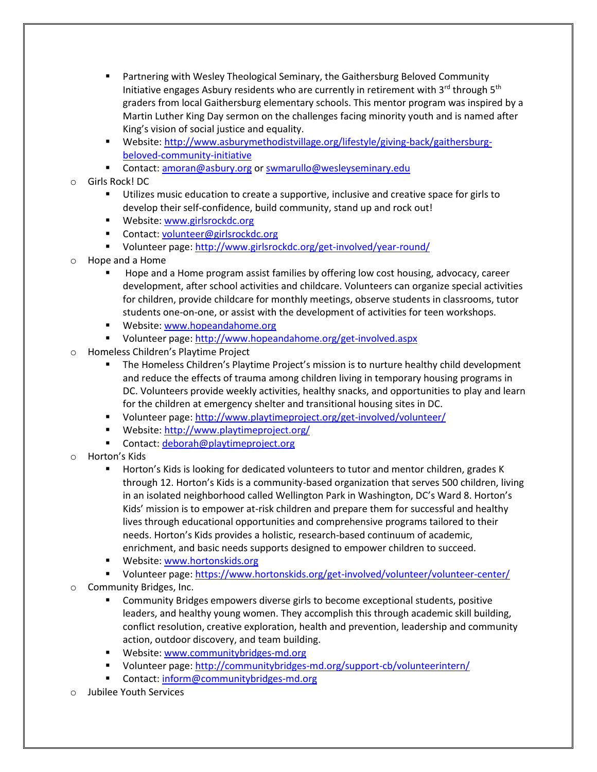- Partnering with Wesley Theological Seminary, the Gaithersburg Beloved Community Initiative engages Asbury residents who are currently in retirement with  $3^{rd}$  through  $5^{th}$ graders from local Gaithersburg elementary schools. This mentor program was inspired by a Martin Luther King Day sermon on the challenges facing minority youth and is named after King's vision of social justice and equality.
- Website[: http://www.asburymethodistvillage.org/lifestyle/giving-back/gaithersburg](http://www.asburymethodistvillage.org/lifestyle/giving-back/gaithersburg-beloved-community-initiative)[beloved-community-initiative](http://www.asburymethodistvillage.org/lifestyle/giving-back/gaithersburg-beloved-community-initiative)
- Contact: [amoran@asbury.org](mailto:amoran@asbury.org) or [swmarullo@wesleyseminary.edu](mailto:swmarullo@wesleyseminary.edu)
- o Girls Rock! DC
	- Utilizes music education to create a supportive, inclusive and creative space for girls to develop their self-confidence, build community, stand up and rock out!
	- **Website[: www.girlsrockdc.org](http://www.girlsrockdc.org/)**
	- Contact: [volunteer@girlsrockdc.org](mailto:volunteer@girlsrockdc.org)
	- Volunteer page:<http://www.girlsrockdc.org/get-involved/year-round/>
- o Hope and a Home
	- Hope and a Home program assist families by offering low cost housing, advocacy, career development, after school activities and childcare. Volunteers can organize special activities for children, provide childcare for monthly meetings, observe students in classrooms, tutor students one-on-one, or assist with the development of activities for teen workshops.
	- **Website[: www.hopeandahome.org](http://www.hopeandahome.org/)**
	- Volunteer page:<http://www.hopeandahome.org/get-involved.aspx>
- Homeless Children's Playtime Project
	- **The Homeless Children's Playtime Project's mission is to nurture healthy child development** and reduce the effects of trauma among children living in temporary housing programs in DC. Volunteers provide weekly activities, healthy snacks, and opportunities to play and learn for the children at emergency shelter and transitional housing sites in DC.
	- Volunteer page:<http://www.playtimeproject.org/get-involved/volunteer/>
	- Website: <http://www.playtimeproject.org/>
	- Contact: [deborah@playtimeproject.org](mailto:deborah@playtimeproject.org)
- o Horton's Kids
	- **Horton's Kids is looking for dedicated volunteers to tutor and mentor children, grades K** through 12. Horton's Kids is a community-based organization that serves 500 children, living in an isolated neighborhood called Wellington Park in Washington, DC's Ward 8. Horton's Kids' mission is to empower at-risk children and prepare them for successful and healthy lives through educational opportunities and comprehensive programs tailored to their needs. Horton's Kids provides a holistic, research-based continuum of academic, enrichment, and basic needs supports designed to empower children to succeed.
	- **Website[: www.hortonskids.org](http://www.hortonskids.org/)**
	- Volunteer page:<https://www.hortonskids.org/get-involved/volunteer/volunteer-center/>
- o Community Bridges, Inc.
	- Community Bridges empowers diverse girls to become exceptional students, positive leaders, and healthy young women. They accomplish this through academic skill building, conflict resolution, creative exploration, health and prevention, leadership and community action, outdoor discovery, and team building.
	- **Website[: www.communitybridges-md.org](http://www.communitybridges-md.org/)**
	- Volunteer page:<http://communitybridges-md.org/support-cb/volunteerintern/>
	- Contact: [inform@communitybridges-md.org](mailto:inform@communitybridges-md.org)
- **Jubilee Youth Services**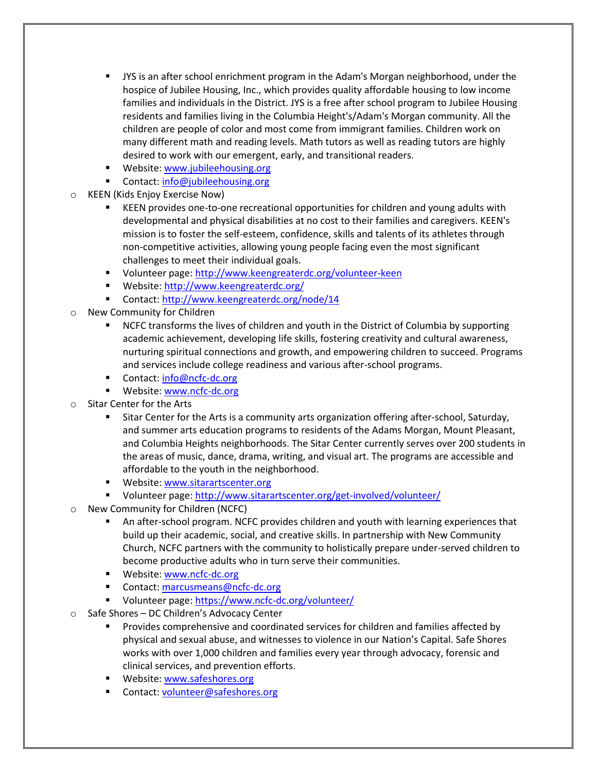- JYS is an after school enrichment program in the Adam's Morgan neighborhood, under the hospice of Jubilee Housing, Inc., which provides quality affordable housing to low income families and individuals in the District. JYS is a free after school program to Jubilee Housing residents and families living in the Columbia Height's/Adam's Morgan community. All the children are people of color and most come from immigrant families. Children work on many different math and reading levels. Math tutors as well as reading tutors are highly desired to work with our emergent, early, and transitional readers.
- **Website[: www.jubileehousing.org](http://www.jubileehousing.org/)**
- Contact: [info@jubileehousing.org](mailto:info@jubileehousing.org)
- KEEN (Kids Enjoy Exercise Now)
	- KEEN provides one-to-one recreational opportunities for children and young adults with developmental and physical disabilities at no cost to their families and caregivers. KEEN's mission is to foster the self-esteem, confidence, skills and talents of its athletes through non-competitive activities, allowing young people facing even the most significant challenges to meet their individual goals.
	- Volunteer page:<http://www.keengreaterdc.org/volunteer-keen>
	- Website[: http://www.keengreaterdc.org/](http://www.keengreaterdc.org/)
	- Contact:<http://www.keengreaterdc.org/node/14>
- o New Community for Children
	- **NCFC transforms the lives of children and youth in the District of Columbia by supporting** academic achievement, developing life skills, fostering creativity and cultural awareness, nurturing spiritual connections and growth, and empowering children to succeed. Programs and services include college readiness and various after-school programs.
	- Contact: [info@ncfc-dc.org](mailto:info@ncfc-dc.org)
	- **Website[: www.ncfc-dc.org](http://www.ncfc-dc.org/)**
- o Sitar Center for the Arts
	- Sitar Center for the Arts is a community arts organization offering after-school, Saturday, and summer arts education programs to residents of the Adams Morgan, Mount Pleasant, and Columbia Heights neighborhoods. The Sitar Center currently serves over 200 students in the areas of music, dance, drama, writing, and visual art. The programs are accessible and affordable to the youth in the neighborhood.
	- **Website[: www.sitarartscenter.org](http://www.sitarartscenter.org/)**
	- Volunteer page:<http://www.sitarartscenter.org/get-involved/volunteer/>
- New Community for Children (NCFC)
	- An after-school program. NCFC provides children and youth with learning experiences that build up their academic, social, and creative skills. In partnership with New Community Church, NCFC partners with the community to holistically prepare under-served children to become productive adults who in turn serve their communities.
	- **Website[: www.ncfc-dc.org](http://www.ncfc-dc.org/)**
	- Contact: [marcusmeans@ncfc-dc.org](mailto:marcusmeans@ncfc-dc.org)
	- Volunteer page:<https://www.ncfc-dc.org/volunteer/>
- o Safe Shores DC Children's Advocacy Center
	- Provides comprehensive and coordinated services for children and families affected by physical and sexual abuse, and witnesses to violence in our Nation's Capital. Safe Shores works with over 1,000 children and families every year through advocacy, forensic and clinical services, and prevention efforts.
	- **Website[: www.safeshores.org](http://www.safeshores.org/)**
	- Contact: [volunteer@safeshores.org](mailto:volunteer@safeshores.org)